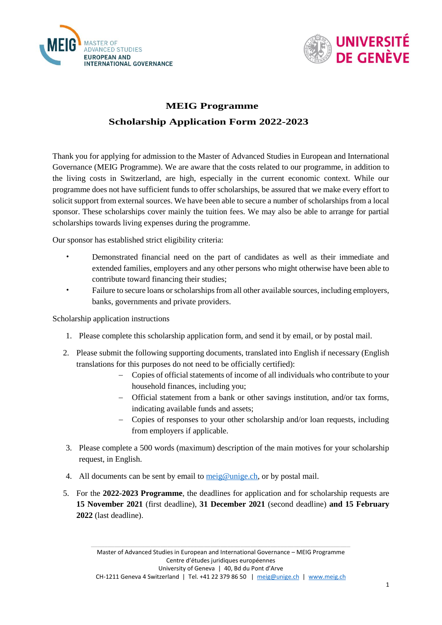



## **MEIG Programme**

## **Scholarship Application Form 2022-2023**

Thank you for applying for admission to the Master of Advanced Studies in European and International Governance (MEIG Programme). We are aware that the costs related to our programme, in addition to the living costs in Switzerland, are high, especially in the current economic context. While our programme does not have sufficient funds to offer scholarships, be assured that we make every effort to solicit support from external sources. We have been able to secure a number of scholarships from a local sponsor. These scholarships cover mainly the tuition fees. We may also be able to arrange for partial scholarships towards living expenses during the programme.

Our sponsor has established strict eligibility criteria:

- Demonstrated financial need on the part of candidates as well as their immediate and extended families, employers and any other persons who might otherwise have been able to contribute toward financing their studies;
- Failure to secure loans or scholarships from all other available sources, including employers, banks, governments and private providers.

Scholarship application instructions

- 1. Please complete this scholarship application form, and send it by email, or by postal mail.
- 2. Please submit the following supporting documents, translated into English if necessary (English translations for this purposes do not need to be officially certified):
	- − Copies of official statements of income of all individuals who contribute to your household finances, including you;
	- − Official statement from a bank or other savings institution, and/or tax forms, indicating available funds and assets;
	- − Copies of responses to your other scholarship and/or loan requests, including from employers if applicable.
- 3. Please complete a 500 words (maximum) description of the main motives for your scholarship request, in English.
- 4. All documents can be sent by email to meig@unige.ch, or by postal mail.
- 5. For the **2022-2023 Programme**, the deadlines for application and for scholarship requests are **15 November 2021** (first deadline), **31 December 2021** (second deadline) **and 15 February 2022** (last deadline).

\_\_\_\_\_\_\_\_\_\_\_\_\_\_\_\_\_\_\_\_\_\_\_\_\_\_\_\_\_\_\_\_\_\_\_\_\_\_\_\_\_\_\_\_\_\_\_\_\_\_\_\_\_\_\_\_\_\_\_\_\_\_\_\_\_\_\_\_\_\_\_\_\_\_\_\_\_\_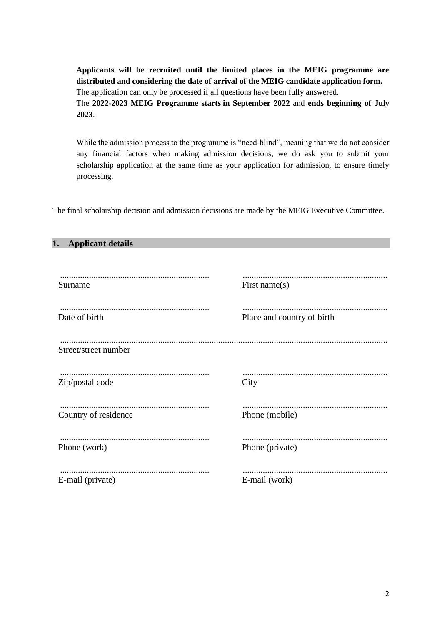**Applicants will be recruited until the limited places in the MEIG programme are distributed and considering the date of arrival of the MEIG candidate application form.** The application can only be processed if all questions have been fully answered.

The **2022-2023 MEIG Programme starts in September 2022** and **ends beginning of July 2023**.

While the admission process to the programme is "need-blind", meaning that we do not consider any financial factors when making admission decisions, we do ask you to submit your scholarship application at the same time as your application for admission, to ensure timely processing.

The final scholarship decision and admission decisions are made by the MEIG Executive Committee.

| 1.<br><b>Applicant details</b> |                            |
|--------------------------------|----------------------------|
| Surname                        | First name $(s)$           |
| Date of birth                  | Place and country of birth |
| Street/street number           |                            |
| Zip/postal code                | City                       |
| Country of residence           | Phone (mobile)             |
| Phone (work)                   | Phone (private)            |
| E-mail (private)               | E-mail (work)              |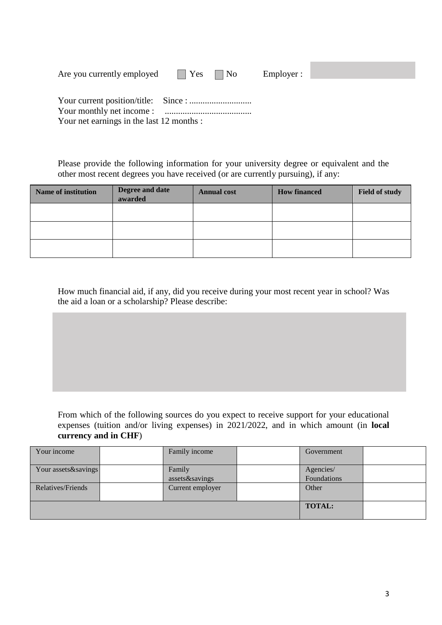| Are you currently employed                | $ $ $ $ $Yes$ $ $ $No$ | Employer : |  |
|-------------------------------------------|------------------------|------------|--|
|                                           |                        |            |  |
|                                           |                        |            |  |
|                                           |                        |            |  |
| Your net earnings in the last 12 months : |                        |            |  |

Please provide the following information for your university degree or equivalent and the other most recent degrees you have received (or are currently pursuing), if any:

| <b>Name of institution</b> | Degree and date<br>awarded | <b>Annual cost</b> | <b>How financed</b> | <b>Field of study</b> |
|----------------------------|----------------------------|--------------------|---------------------|-----------------------|
|                            |                            |                    |                     |                       |
|                            |                            |                    |                     |                       |
|                            |                            |                    |                     |                       |

How much financial aid, if any, did you receive during your most recent year in school? Was the aid a loan or a scholarship? Please describe:

From which of the following sources do you expect to receive support for your educational expenses (tuition and/or living expenses) in 2021/2022, and in which amount (in **local currency and in CHF**)

| Your income         | Family income            | Government               |  |
|---------------------|--------------------------|--------------------------|--|
| Your assets&savings | Family<br>assets&savings | Agencies/<br>Foundations |  |
| Relatives/Friends   | Current employer         | Other                    |  |
|                     |                          | <b>TOTAL:</b>            |  |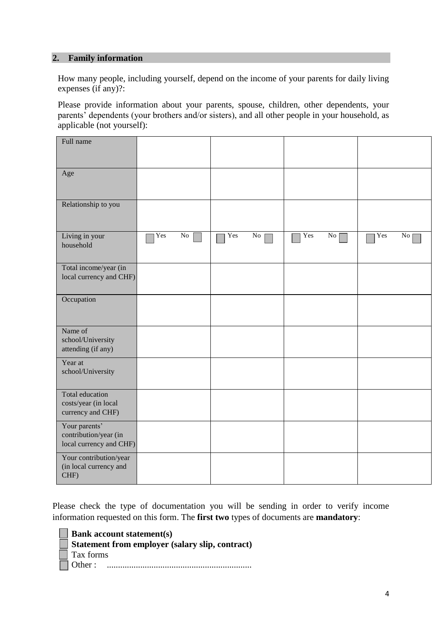### **2. Family information**

How many people, including yourself, depend on the income of your parents for daily living expenses (if any)?:

Please provide information about your parents, spouse, children, other dependents, your parents' dependents (your brothers and/or sisters), and all other people in your household, as applicable (not yourself):

| Full name                                                         |     |            |     |    |     |                 |     |                 |
|-------------------------------------------------------------------|-----|------------|-----|----|-----|-----------------|-----|-----------------|
| Age                                                               |     |            |     |    |     |                 |     |                 |
| Relationship to you                                               |     |            |     |    |     |                 |     |                 |
| Living in your<br>household                                       | Yes | ${\rm No}$ | Yes | No | Yes | No <sub>1</sub> | Yes | No <sub>1</sub> |
| Total income/year (in<br>local currency and CHF)                  |     |            |     |    |     |                 |     |                 |
| Occupation                                                        |     |            |     |    |     |                 |     |                 |
| Name of<br>school/University<br>attending (if any)                |     |            |     |    |     |                 |     |                 |
| Year at<br>school/University                                      |     |            |     |    |     |                 |     |                 |
| Total education<br>costs/year (in local<br>currency and CHF)      |     |            |     |    |     |                 |     |                 |
| Your parents'<br>contribution/year (in<br>local currency and CHF) |     |            |     |    |     |                 |     |                 |
| Your contribution/year<br>(in local currency and<br>CHF)          |     |            |     |    |     |                 |     |                 |

Please check the type of documentation you will be sending in order to verify income information requested on this form. The **first two** types of documents are **mandatory**:

| $\Box$ Bank account statement(s)                       |
|--------------------------------------------------------|
| $\Box$ Statement from employer (salary slip, contract) |
| $\vert$ Tax forms                                      |
|                                                        |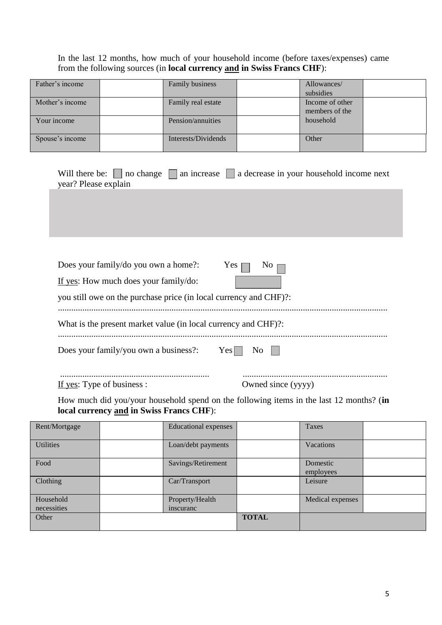# In the last 12 months, how much of your household income (before taxes/expenses) came from the following sources (in **local currency and in Swiss Francs CHF**):

| Father's income | Family business     | Allowances/     |  |
|-----------------|---------------------|-----------------|--|
|                 |                     | subsidies       |  |
| Mother's income | Family real estate  | Income of other |  |
|                 |                     | members of the  |  |
| Your income     | Pension/annuities   | household       |  |
|                 |                     |                 |  |
| Spouse's income | Interests/Dividends | Other           |  |
|                 |                     |                 |  |

|                      | Will there be: $\Box$ no change $\Box$ an increase $\Box$ a decrease in your household income next |
|----------------------|----------------------------------------------------------------------------------------------------|
| year? Please explain |                                                                                                    |
|                      |                                                                                                    |

| Does your family/do you own a home?:                              | $\overline{N}$ i<br>Yes $\Box$ |
|-------------------------------------------------------------------|--------------------------------|
| If yes: How much does your family/do:                             |                                |
| you still owe on the purchase price (in local currency and CHF)?: |                                |
| What is the present market value (in local currency and CHF)?:    |                                |
| Does your family/you own a business?:                             | $Yes$    <br>No                |
| If yes: Type of business :                                        | Owned since (yyyy)             |

How much did you/your household spend on the following items in the last 12 months? (**in local currency and in Swiss Francs CHF**):

| Rent/Mortgage            | <b>Educational expenses</b>  |              | Taxes                 |  |
|--------------------------|------------------------------|--------------|-----------------------|--|
| <b>Utilities</b>         | Loan/debt payments           |              | Vacations             |  |
| Food                     | Savings/Retirement           |              | Domestic<br>employees |  |
| Clothing                 | Car/Transport                |              | Leisure               |  |
| Household<br>necessities | Property/Health<br>inscuranc |              | Medical expenses      |  |
| Other                    |                              | <b>TOTAL</b> |                       |  |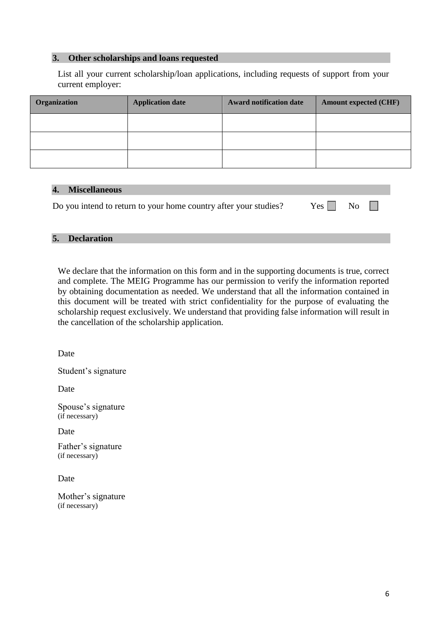### **3. Other scholarships and loans requested**

List all your current scholarship/loan applications, including requests of support from your current employer:

| Organization | <b>Application date</b> | Award notification date | <b>Amount expected (CHF)</b> |
|--------------|-------------------------|-------------------------|------------------------------|
|              |                         |                         |                              |
|              |                         |                         |                              |
|              |                         |                         |                              |

#### **4. Miscellaneous**

| Do you intend to return to your home country after your studies? | $Yes \tN$ No $\Box$ |  |
|------------------------------------------------------------------|---------------------|--|
|------------------------------------------------------------------|---------------------|--|

#### **5. Declaration**

We declare that the information on this form and in the supporting documents is true, correct and complete. The MEIG Programme has our permission to verify the information reported by obtaining documentation as needed. We understand that all the information contained in this document will be treated with strict confidentiality for the purpose of evaluating the scholarship request exclusively. We understand that providing false information will result in the cancellation of the scholarship application.

Date

Student's signature

Date

Spouse's signature (if necessary)

Date

Father's signature (if necessary)

Date

Mother's signature (if necessary)